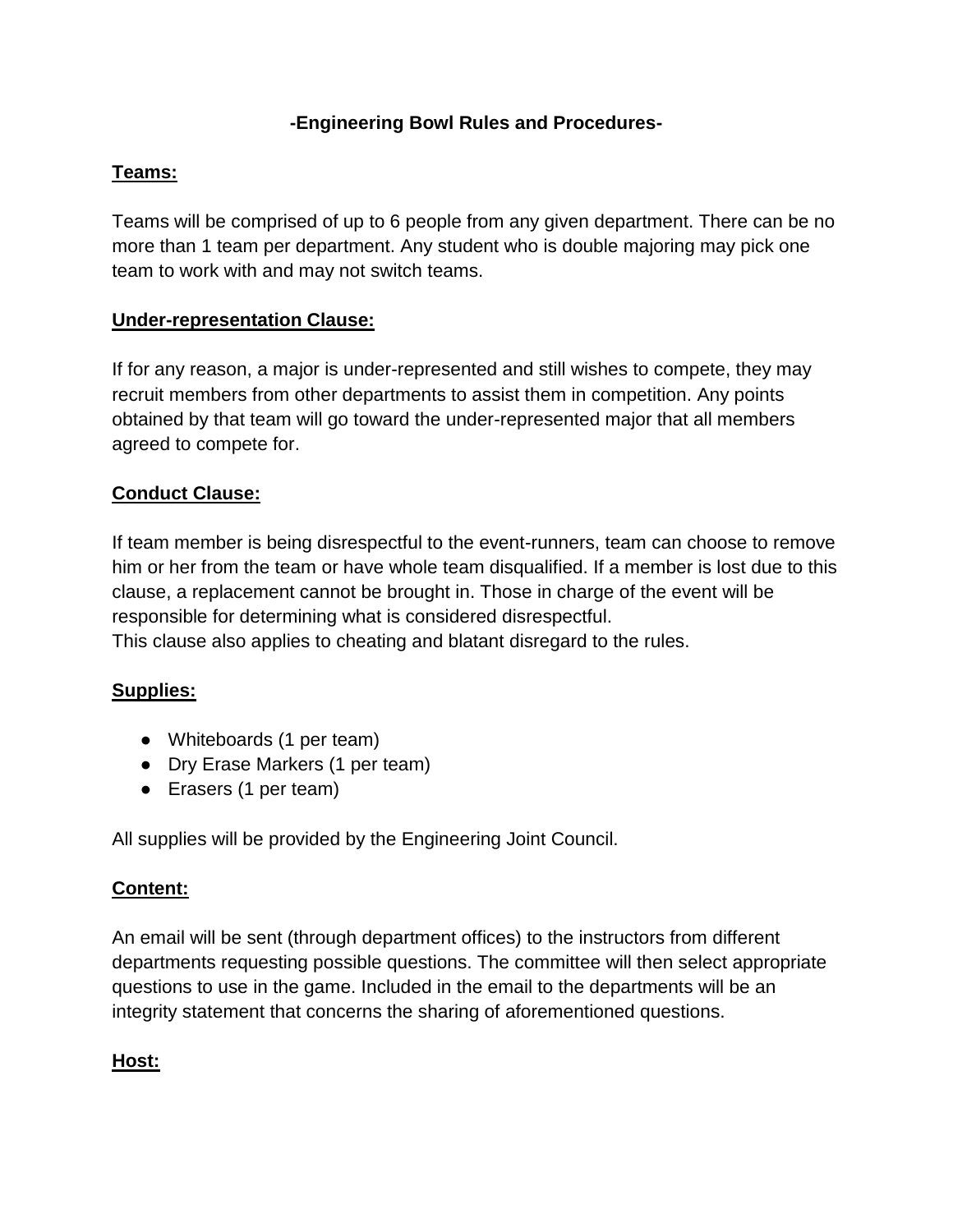## **-Engineering Bowl Rules and Procedures-**

## **Teams:**

Teams will be comprised of up to 6 people from any given department. There can be no more than 1 team per department. Any student who is double majoring may pick one team to work with and may not switch teams.

## **Under-representation Clause:**

If for any reason, a major is under-represented and still wishes to compete, they may recruit members from other departments to assist them in competition. Any points obtained by that team will go toward the under-represented major that all members agreed to compete for.

# **Conduct Clause:**

If team member is being disrespectful to the event-runners, team can choose to remove him or her from the team or have whole team disqualified. If a member is lost due to this clause, a replacement cannot be brought in. Those in charge of the event will be responsible for determining what is considered disrespectful.

This clause also applies to cheating and blatant disregard to the rules.

# **Supplies:**

- Whiteboards (1 per team)
- Dry Erase Markers (1 per team)
- Erasers (1 per team)

All supplies will be provided by the Engineering Joint Council.

#### **Content:**

An email will be sent (through department offices) to the instructors from different departments requesting possible questions. The committee will then select appropriate questions to use in the game. Included in the email to the departments will be an integrity statement that concerns the sharing of aforementioned questions.

#### **Host:**